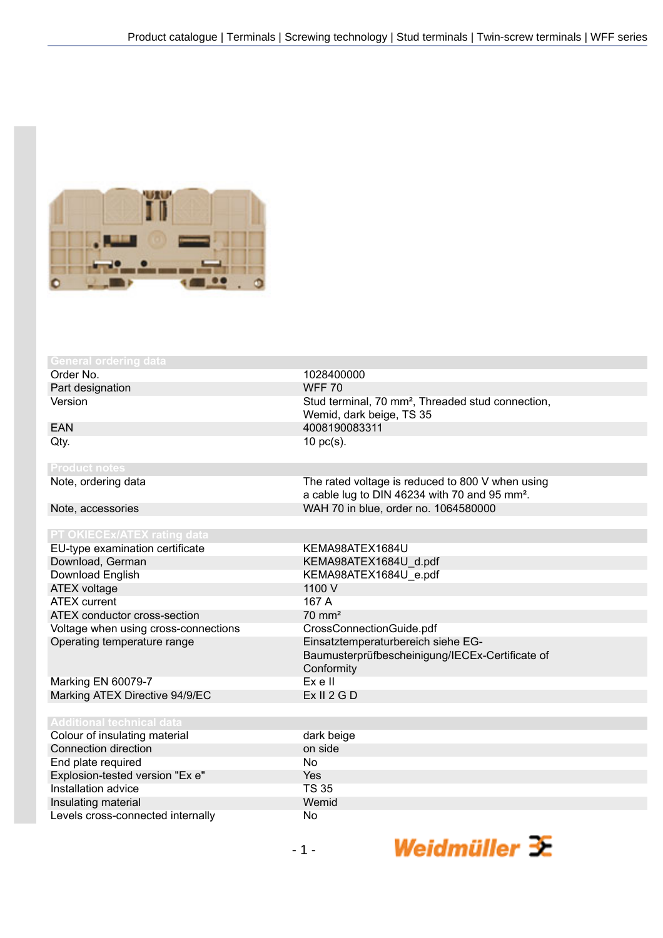

| <b>General ordering data</b>         |                                                               |
|--------------------------------------|---------------------------------------------------------------|
| Order No.                            | 1028400000                                                    |
| Part designation                     | <b>WFF 70</b>                                                 |
| Version                              | Stud terminal, 70 mm <sup>2</sup> , Threaded stud connection, |
|                                      | Wemid, dark beige, TS 35                                      |
| <b>EAN</b>                           | 4008190083311                                                 |
| Qty.                                 | $10$ pc(s).                                                   |
|                                      |                                                               |
| <b>Product notes</b>                 |                                                               |
| Note, ordering data                  | The rated voltage is reduced to 800 V when using              |
|                                      | a cable lug to DIN 46234 with 70 and 95 mm <sup>2</sup> .     |
| Note, accessories                    | WAH 70 in blue, order no. 1064580000                          |
| <b>PT OKIECEX/ATEX rating data</b>   |                                                               |
| EU-type examination certificate      | KEMA98ATEX1684U                                               |
| Download, German                     | KEMA98ATEX1684U d.pdf                                         |
| Download English                     | KEMA98ATEX1684U e.pdf                                         |
| <b>ATEX voltage</b>                  | 1100 V                                                        |
| <b>ATEX current</b>                  | 167 A                                                         |
| ATEX conductor cross-section         | $70 \text{ mm}^2$                                             |
| Voltage when using cross-connections | CrossConnectionGuide.pdf                                      |
| Operating temperature range          | Einsatztemperaturbereich siehe EG-                            |
|                                      | Baumusterprüfbescheinigung/IECEx-Certificate of               |
|                                      | Conformity                                                    |
| Marking EN 60079-7                   | Ex e II                                                       |
| Marking ATEX Directive 94/9/EC       | Ex II 2 G D                                                   |
|                                      |                                                               |
| <b>Additional technical data</b>     |                                                               |
| Colour of insulating material        | dark beige                                                    |
| Connection direction                 | on side                                                       |
| End plate required                   | <b>No</b>                                                     |
| Explosion-tested version "Ex e"      | Yes                                                           |
| Installation advice                  | <b>TS 35</b>                                                  |
| Insulating material                  | Wemid                                                         |
| Levels cross-connected internally    |                                                               |

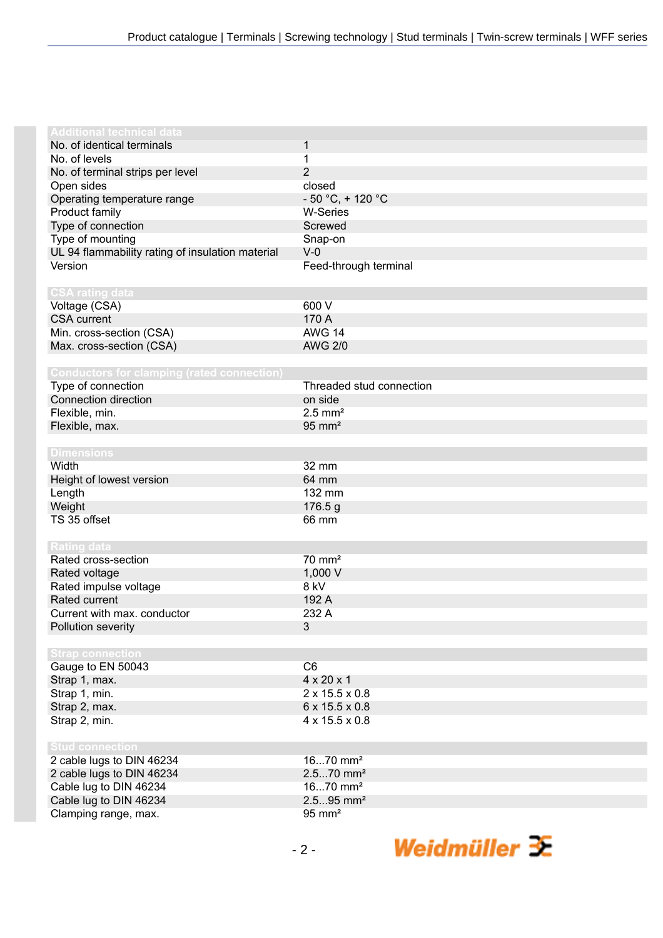| <b>Additional technical data</b>                  |                            |
|---------------------------------------------------|----------------------------|
| No. of identical terminals                        | 1                          |
| No. of levels                                     | 1                          |
| No. of terminal strips per level                  | $\overline{2}$             |
| Open sides                                        | closed                     |
| Operating temperature range                       | $-50 °C$ , + 120 °C        |
| Product family                                    | <b>W-Series</b>            |
| Type of connection                                | Screwed                    |
| Type of mounting                                  | Snap-on                    |
| UL 94 flammability rating of insulation material  | $V-0$                      |
| Version                                           | Feed-through terminal      |
|                                                   |                            |
| <b>CSA rating data</b>                            |                            |
| Voltage (CSA)                                     | 600 V                      |
| <b>CSA current</b>                                | 170 A                      |
| Min. cross-section (CSA)                          | <b>AWG 14</b>              |
| Max. cross-section (CSA)                          | <b>AWG 2/0</b>             |
|                                                   |                            |
| <b>Conductors for clamping (rated connection)</b> |                            |
| Type of connection                                | Threaded stud connection   |
| Connection direction                              | on side                    |
| Flexible, min.                                    | $2.5$ mm <sup>2</sup>      |
| Flexible, max.                                    | $95 \text{ mm}^2$          |
|                                                   |                            |
| <b>Dimensions</b>                                 |                            |
| Width                                             | 32 mm                      |
| Height of lowest version                          | 64 mm                      |
| Length                                            | 132 mm                     |
| Weight                                            | 176.5 g                    |
| TS 35 offset                                      | 66 mm                      |
|                                                   |                            |
| <b>Rating data</b>                                |                            |
| Rated cross-section                               | $70 \text{ mm}^2$          |
| Rated voltage                                     | 1,000 V                    |
| Rated impulse voltage                             | 8 kV                       |
| Rated current                                     | 192 A                      |
| Current with max. conductor                       | 232 A                      |
| Pollution severity                                | 3                          |
|                                                   |                            |
| <b>Strap connection</b>                           |                            |
| Gauge to EN 50043                                 | C6                         |
| Strap 1, max.                                     | $4 \times 20 \times 1$     |
| Strap 1, min.                                     | $2 \times 15.5 \times 0.8$ |
| Strap 2, max.                                     | $6 \times 15.5 \times 0.8$ |
| Strap 2, min.                                     | 4 x 15.5 x 0.8             |
|                                                   |                            |
| <b>Stud connection</b>                            |                            |
| 2 cable lugs to DIN 46234                         | $1670$ mm <sup>2</sup>     |
| 2 cable lugs to DIN 46234                         | $2.570$ mm <sup>2</sup>    |
| Cable lug to DIN 46234                            | $1670$ mm <sup>2</sup>     |
| Cable lug to DIN 46234                            | $2.595$ mm <sup>2</sup>    |
| Clamping range, max.                              | $95 \text{ mm}^2$          |

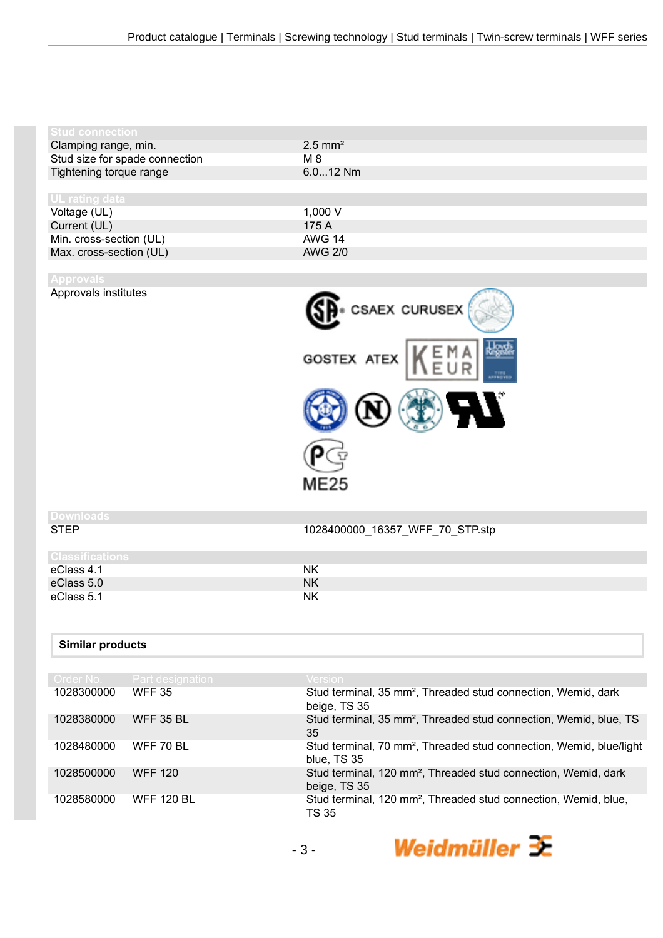| $2.5$ mm <sup>2</sup> |
|-----------------------|
| M 8                   |
| $6.012$ Nm            |
|                       |
|                       |
| 1.000 V               |
| 175 A                 |
| <b>AWG 14</b>         |
| <b>AWG 2/0</b>        |
|                       |

Approvals institutes



## **Downloads**

1028400000\_16357\_WFF\_70\_STP.stp

| <b>Classifications</b> |           |
|------------------------|-----------|
| eClass 4.1             | ΝK        |
| eClass 5.0             | ΝK        |
| eClass 5.1             | <b>NK</b> |

## **Similar products**

| Order No.  | Part designation  | <b>Version</b>                                                                                 |
|------------|-------------------|------------------------------------------------------------------------------------------------|
| 1028300000 | <b>WFF 35</b>     | Stud terminal, 35 mm <sup>2</sup> , Threaded stud connection, Wemid, dark<br>beige, TS 35      |
| 1028380000 | <b>WFF 35 BL</b>  | Stud terminal, 35 mm <sup>2</sup> , Threaded stud connection, Wemid, blue, TS<br>35            |
| 1028480000 | WFF 70 BL         | Stud terminal, 70 mm <sup>2</sup> , Threaded stud connection, Wemid, blue/light<br>blue, TS 35 |
| 1028500000 | <b>WFF 120</b>    | Stud terminal, 120 mm <sup>2</sup> , Threaded stud connection, Wemid, dark<br>beige, TS 35     |
| 1028580000 | <b>WFF 120 BL</b> | Stud terminal, 120 mm <sup>2</sup> , Threaded stud connection, Wemid, blue,<br><b>TS 35</b>    |